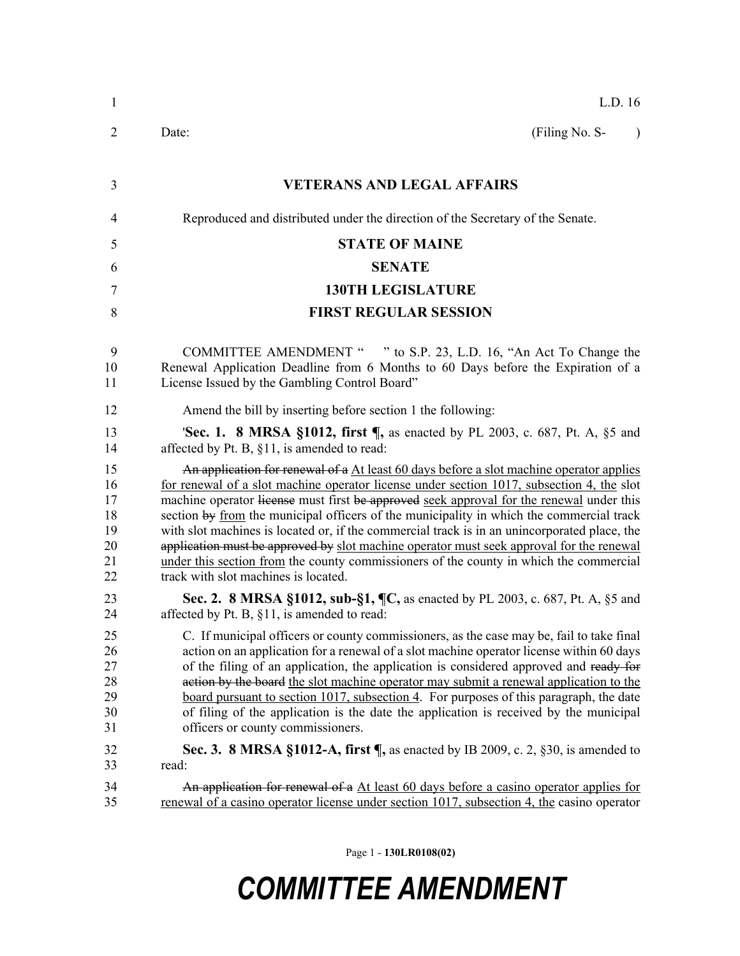| $\mathbf{1}$                                 | L.D. 16                                                                                                                                                                                                                                                                                                                                                                                                                                                                                                                                                                                                                                                                                                    |
|----------------------------------------------|------------------------------------------------------------------------------------------------------------------------------------------------------------------------------------------------------------------------------------------------------------------------------------------------------------------------------------------------------------------------------------------------------------------------------------------------------------------------------------------------------------------------------------------------------------------------------------------------------------------------------------------------------------------------------------------------------------|
| $\overline{2}$                               | (Filing No. S-<br>Date:<br>$\lambda$                                                                                                                                                                                                                                                                                                                                                                                                                                                                                                                                                                                                                                                                       |
| 3                                            | <b>VETERANS AND LEGAL AFFAIRS</b>                                                                                                                                                                                                                                                                                                                                                                                                                                                                                                                                                                                                                                                                          |
| 4                                            | Reproduced and distributed under the direction of the Secretary of the Senate.                                                                                                                                                                                                                                                                                                                                                                                                                                                                                                                                                                                                                             |
| 5                                            | <b>STATE OF MAINE</b>                                                                                                                                                                                                                                                                                                                                                                                                                                                                                                                                                                                                                                                                                      |
| 6                                            | <b>SENATE</b>                                                                                                                                                                                                                                                                                                                                                                                                                                                                                                                                                                                                                                                                                              |
| 7                                            | <b>130TH LEGISLATURE</b>                                                                                                                                                                                                                                                                                                                                                                                                                                                                                                                                                                                                                                                                                   |
| 8                                            | <b>FIRST REGULAR SESSION</b>                                                                                                                                                                                                                                                                                                                                                                                                                                                                                                                                                                                                                                                                               |
| 9<br>10<br>11                                | COMMITTEE AMENDMENT " " to S.P. 23, L.D. 16, "An Act To Change the<br>Renewal Application Deadline from 6 Months to 60 Days before the Expiration of a<br>License Issued by the Gambling Control Board"                                                                                                                                                                                                                                                                                                                                                                                                                                                                                                    |
| 12                                           | Amend the bill by inserting before section 1 the following:                                                                                                                                                                                                                                                                                                                                                                                                                                                                                                                                                                                                                                                |
| 13<br>14                                     | <b>Sec. 1. 8 MRSA §1012, first </b> , as enacted by PL 2003, c. 687, Pt. A, §5 and<br>affected by Pt. B, §11, is amended to read:                                                                                                                                                                                                                                                                                                                                                                                                                                                                                                                                                                          |
| 15<br>16<br>17<br>18<br>19<br>20<br>21<br>22 | An application for renewal of a At least 60 days before a slot machine operator applies<br>for renewal of a slot machine operator license under section 1017, subsection 4, the slot<br>machine operator lieense must first be approved seek approval for the renewal under this<br>section by from the municipal officers of the municipality in which the commercial track<br>with slot machines is located or, if the commercial track is in an unincorporated place, the<br>application must be approved by slot machine operator must seek approval for the renewal<br>under this section from the county commissioners of the county in which the commercial<br>track with slot machines is located. |
| 23<br>24                                     | Sec. 2. 8 MRSA §1012, sub-§1, ¶C, as enacted by PL 2003, c. 687, Pt. A, §5 and<br>affected by Pt. B, §11, is amended to read:                                                                                                                                                                                                                                                                                                                                                                                                                                                                                                                                                                              |
| 25<br>26<br>27<br>28<br>29<br>30<br>31       | C. If municipal officers or county commissioners, as the case may be, fail to take final<br>action on an application for a renewal of a slot machine operator license within 60 days<br>of the filing of an application, the application is considered approved and ready for<br>action by the board the slot machine operator may submit a renewal application to the<br>board pursuant to section 1017, subsection 4. For purposes of this paragraph, the date<br>of filing of the application is the date the application is received by the municipal<br>officers or county commissioners.                                                                                                             |
| 32                                           | Sec. 3. 8 MRSA §1012-A, first $\P$ , as enacted by IB 2009, c. 2, §30, is amended to                                                                                                                                                                                                                                                                                                                                                                                                                                                                                                                                                                                                                       |
| 33                                           | read:                                                                                                                                                                                                                                                                                                                                                                                                                                                                                                                                                                                                                                                                                                      |
| 34<br>35                                     | An application for renewal of a At least 60 days before a casino operator applies for<br>renewal of a casino operator license under section 1017, subsection 4, the casino operator                                                                                                                                                                                                                                                                                                                                                                                                                                                                                                                        |

Page 1 - **130LR0108(02)**

## *COMMITTEE AMENDMENT*